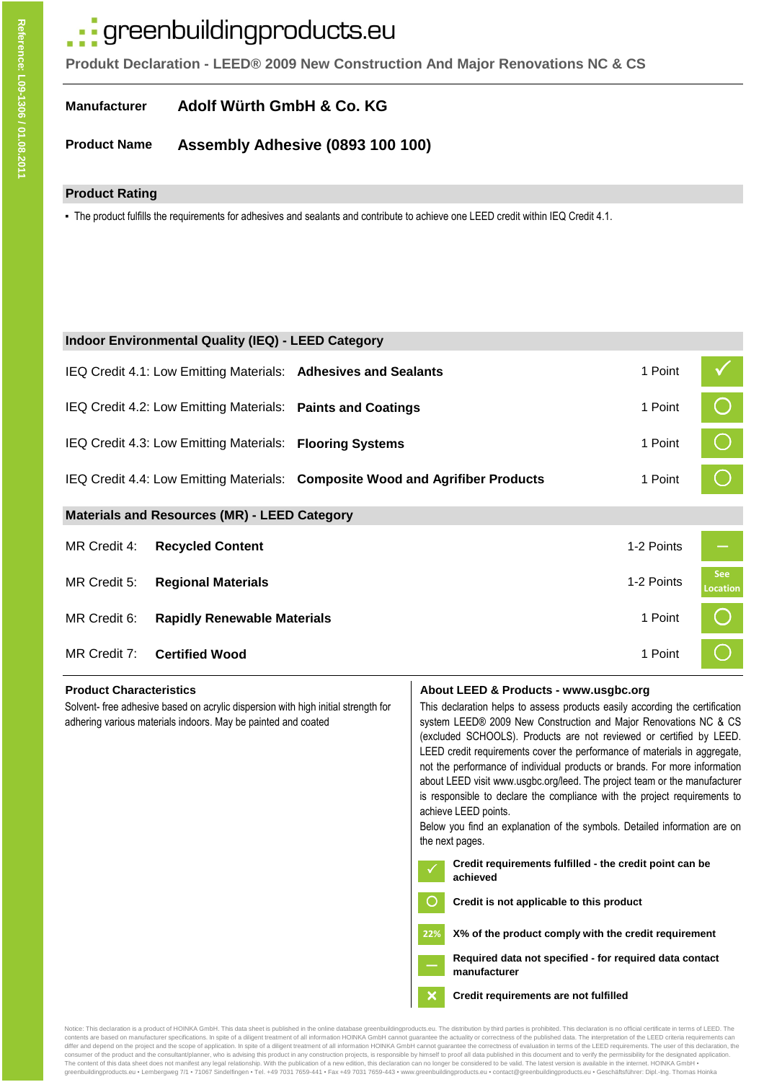# · greenbuildingproducts.eu

**Produkt Declaration - LEED® 2009 New Construction And Major Renovations NC & CS**

#### **Manufacturer Adolf Würth GmbH & Co. KG**

**Product Name Assembly Adhesive (0893 100 100)**

### **Product Rating**

▪ The product fulfills the requirements for adhesives and sealants and contribute to achieve one LEED credit within IEQ Credit 4.1.

| <b>Indoor Environmental Quality (IEQ) - LEED Category</b>      |                                                                               |            |                               |  |  |  |  |
|----------------------------------------------------------------|-------------------------------------------------------------------------------|------------|-------------------------------|--|--|--|--|
| IEQ Credit 4.1: Low Emitting Materials: Adhesives and Sealants |                                                                               | 1 Point    |                               |  |  |  |  |
| IEQ Credit 4.2: Low Emitting Materials: Paints and Coatings    |                                                                               | 1 Point    | $\bigcirc$                    |  |  |  |  |
| IEQ Credit 4.3: Low Emitting Materials: Flooring Systems       |                                                                               | 1 Point    | $\bigcap$                     |  |  |  |  |
|                                                                | IEQ Credit 4.4: Low Emitting Materials: Composite Wood and Agrifiber Products | 1 Point    |                               |  |  |  |  |
| <b>Materials and Resources (MR) - LEED Category</b>            |                                                                               |            |                               |  |  |  |  |
| MR Credit 4:<br><b>Recycled Content</b>                        |                                                                               | 1-2 Points |                               |  |  |  |  |
| MR Credit 5:<br><b>Regional Materials</b>                      |                                                                               | 1-2 Points | <b>See</b><br><b>Location</b> |  |  |  |  |
| MR Credit 6:<br><b>Rapidly Renewable Materials</b>             |                                                                               | 1 Point    |                               |  |  |  |  |
| MR Credit 7:<br><b>Certified Wood</b>                          |                                                                               | 1 Point    |                               |  |  |  |  |

Solvent- free adhesive based on acrylic dispersion with high initial strength for adhering various materials indoors. May be painted and coated

#### **Product Characteristics <b>About LEED & Products - www.usgbc.org About LEED & Products - www.usgbc.org**

This declaration helps to assess products easily according the certification system LEED® 2009 New Construction and Major Renovations NC & CS (excluded SCHOOLS). Products are not reviewed or certified by LEED. LEED credit requirements cover the performance of materials in aggregate, not the performance of individual products or brands. For more information about LEED visit www.usgbc.org/leed. The project team or the manufacturer is responsible to declare the compliance with the project requirements to achieve LEED points.

Below you find an explanation of the symbols. Detailed information are on the next pages.

- **Credit requirements fulfilled the credit point can be achieved**
- **Credit is not applicable to this product** ∩

**22% X% of the product comply with the credit requirement**

**Required data not specified - for required data contact manufacturer**

# **Credit requirements are not fulfilled**

Notice: This declaration is a product of HOINKA GmbH. This data sheet is published in the online database greenbuildingproducts.eu. The distribution by third parties is prohibited. This declaration is no official certifica contents are based on manufacturer specifications. In spite of a diligent treatment of all information HOINKA GmbH cannot guarantee the actuality or correctness of the published data. The interpretation of the LEED criteri consumer of the product and the consultant/planner, who is advising this product in any construction projects, is responsible by himself to proof all data published in this document and to verify the permissibility for the The content of this data sheet does not manifest any legal relationship. With the publication of a new edition, this declaration can no longer be considered to be valid. The latest version is available in the internet. HOI

 $\overline{\mathsf{x}}$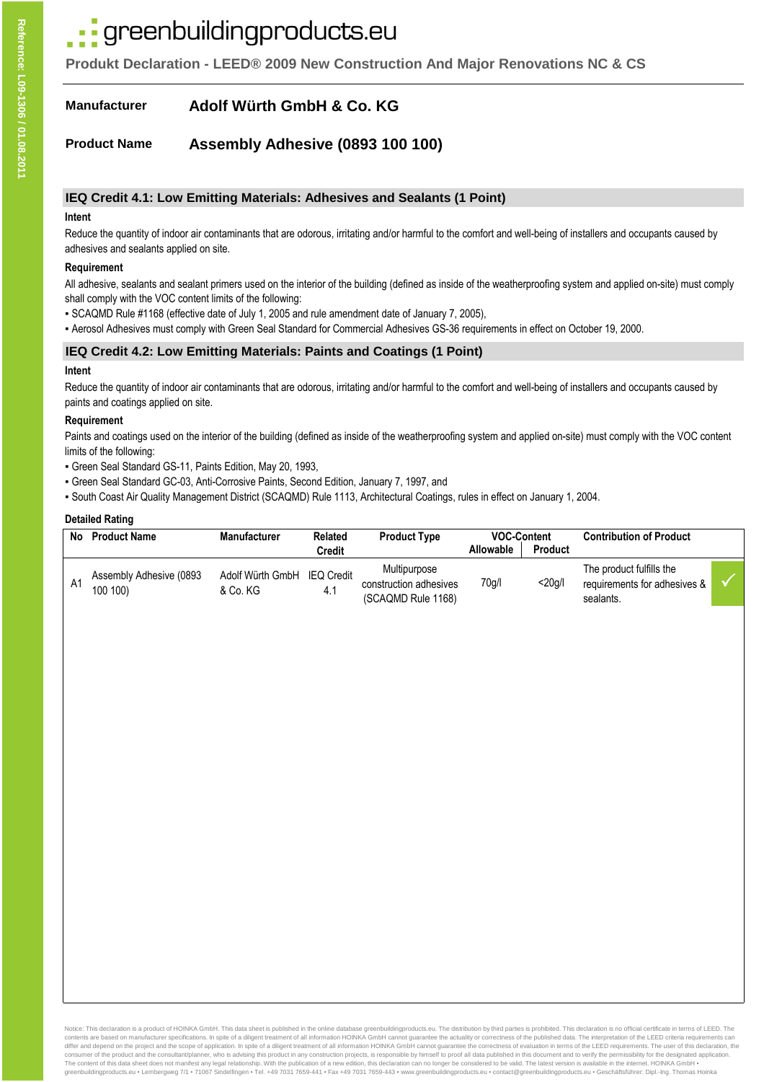# greenbuildingproducts.eu

**Produkt Declaration - LEED® 2009 New Construction And Major Renovations NC & CS**

#### **Manufacturer Adolf Würth GmbH & Co. KG**

**Product Name Assembly Adhesive (0893 100 100)**

### **IEQ Credit 4.1: Low Emitting Materials: Adhesives and Sealants (1 Point)**

#### **Intent**

Reduce the quantity of indoor air contaminants that are odorous, irritating and/or harmful to the comfort and well-being of installers and occupants caused by adhesives and sealants applied on site.

#### **Requirement**

All adhesive, sealants and sealant primers used on the interior of the building (defined as inside of the weatherproofing system and applied on-site) must comply shall comply with the VOC content limits of the following:

- SCAQMD Rule #1168 (effective date of July 1, 2005 and rule amendment date of January 7, 2005),
- Aerosol Adhesives must comply with Green Seal Standard for Commercial Adhesives GS-36 requirements in effect on October 19, 2000.

### **IEQ Credit 4.2: Low Emitting Materials: Paints and Coatings (1 Point)**

#### **Intent**

Reduce the quantity of indoor air contaminants that are odorous, irritating and/or harmful to the comfort and well-being of installers and occupants caused by paints and coatings applied on site.

#### **Requirement**

Paints and coatings used on the interior of the building (defined as inside of the weatherproofing system and applied on-site) must comply with the VOC content limits of the following:

- Green Seal Standard GS-11, Paints Edition, May 20, 1993,
- Green Seal Standard GC-03, Anti-Corrosive Paints, Second Edition, January 7, 1997, and

▪ South Coast Air Quality Management District (SCAQMD) Rule 1113, Architectural Coatings, rules in effect on January 1, 2004.

#### **Detailed Rating**

| No | <b>Product Name</b>                 | <b>Manufacturer</b>          | Related<br>Credit        | <b>Product Type</b>                                          | <b>VOC-Content</b><br><b>Product</b><br><b>Allowable</b> |           | <b>Contribution of Product</b>                                        |  |
|----|-------------------------------------|------------------------------|--------------------------|--------------------------------------------------------------|----------------------------------------------------------|-----------|-----------------------------------------------------------------------|--|
| A1 | Assembly Adhesive (0893<br>100 100) | Adolf Würth GmbH<br>& Co. KG | <b>IEQ Credit</b><br>4.1 | Multipurpose<br>construction adhesives<br>(SCAQMD Rule 1168) | 70g/l                                                    | $<$ 20q/l | The product fulfills the<br>requirements for adhesives &<br>sealants. |  |

Notice: This declaration is a product of HOINKA GmbH. This data sheet is published in the online database greenbuildingproducts.eu. The distribution by third parties is prohibited. This declaration is no official certifica contents are based on manufacturer specifications. In spite of a diligent treatment of all information HOINKA GmbH cannot guarantee the actuality or correctness of the published data. The interpretation of the LEED criteri consumer of the product and the consultant/planner, who is advising this product in any construction projects, is responsible by himself to proof all data published in this document and to verify the permissibility for the The content of this data sheet does not manifest any legal relationship. With the publication of a new edition, this declaration can no longer be considered to be valid. The latest version is available in the internet. HOI greenbuildingproducts.eu ▪ Lembergweg 7/1 ▪ 71067 Sindelfingen ▪ Tel. +49 7031 7659-441 ▪ Fax +49 7031 7659-443 ▪ www.greenbuildingproducts.eu ▪ contact@greenbuildingproducts.eu ▪ Geschäftsführer: Dipl.-Ing. Thomas Hoinka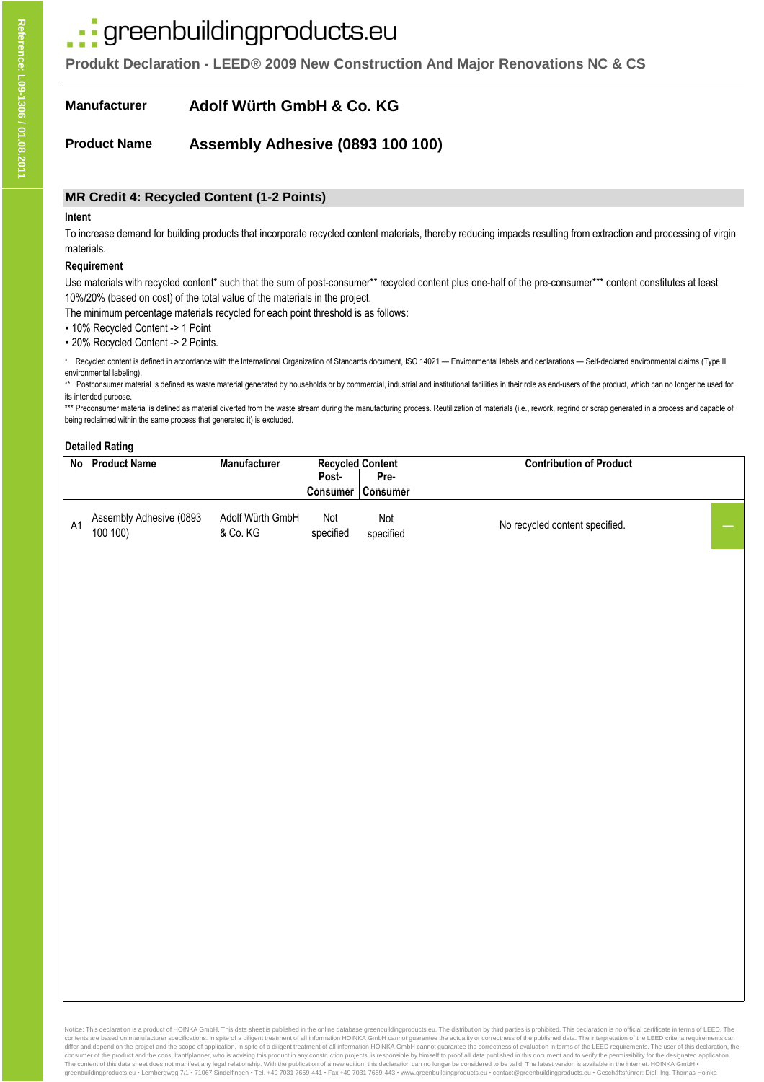# · greenbuildingproducts.eu

**Produkt Declaration - LEED® 2009 New Construction And Major Renovations NC & CS**

**Manufacturer Adolf Würth GmbH & Co. KG**

**Product Name Assembly Adhesive (0893 100 100)**

### **MR Credit 4: Recycled Content (1-2 Points)**

#### **Intent**

To increase demand for building products that incorporate recycled content materials, thereby reducing impacts resulting from extraction and processing of virgin materials.

#### **Requirement**

Use materials with recycled content\* such that the sum of post-consumer\*\* recycled content plus one-half of the pre-consumer\*\*\* content constitutes at least 10%/20% (based on cost) of the total value of the materials in the project.

The minimum percentage materials recycled for each point threshold is as follows:

▪ 10% Recycled Content -> 1 Point

▪ 20% Recycled Content -> 2 Points.

Recycled content is defined in accordance with the International Organization of Standards document, ISO 14021 — Environmental labels and declarations — Self-declared environmental claims (Type II) environmental labeling).

\*\* Postconsumer material is defined as waste material generated by households or by commercial, industrial and institutional facilities in their role as end-users of the product, which can no longer be used for its intended purpose.

\*\*\* Preconsumer material is defined as material diverted from the waste stream during the manufacturing process. Reutilization of materials (i.e., rework, regrind or scrap generated in a process and capable of being reclaimed within the same process that generated it) is excluded.

#### **Detailed Rating**

| No | <b>Product Name</b>                 | <b>Manufacturer</b>          | <b>Recycled Content</b><br>Post- | Pre-             | <b>Contribution of Product</b> |  |
|----|-------------------------------------|------------------------------|----------------------------------|------------------|--------------------------------|--|
|    |                                     |                              | <b>Consumer</b>                  | Consumer         |                                |  |
| A1 | Assembly Adhesive (0893<br>100 100) | Adolf Würth GmbH<br>& Co. KG | Not<br>specified                 | Not<br>specified | No recycled content specified. |  |

Notice: This declaration is a product of HOINKA GmbH. This data sheet is published in the online database greenbuildingproducts.eu. The distribution by third parties is prohibited. This declaration is no official certifica contents are based on manufacturer specifications. In spite of a diligent treatment of all information HOINKA GmbH cannot guarantee the actuality or correctness of the published data. The interpretation of the LEED criteri consumer of the product and the consultant/planner, who is advising this product in any construction projects, is responsible by himself to proof all data published in this document and to verify the permissibility for the greenbuildingproducts.eu • Lembergweg 7/1 • 71067 Sindelfingen • Tel. +49 7031 7659-441 • Fax +49 7031 7659-443 · www.greenbuildingproducts.eu • contact@greenbuildingproducts.eu • Geschäftsführer: Dipl.-Ing. Thomas Hoinka